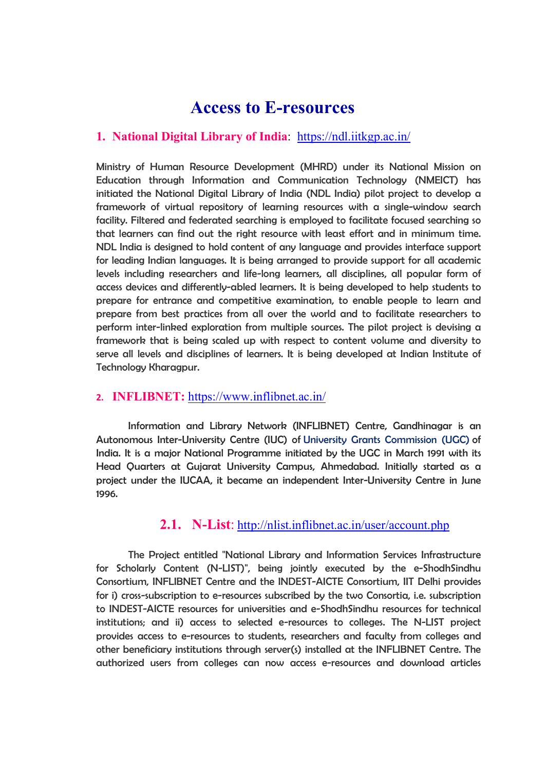# Access to E-resources

#### 1. National Digital Library of India: https://ndl.iitkgp.ac.in/

Ministry of Human Resource Development (MHRD) under its National Mission on Education through Information and Communication Technology (NMEICT) has initiated the National Digital Library of India (NDL India) pilot project to develop a framework of virtual repository of learning resources with a single-window search facility. Filtered and federated searching is employed to facilitate focused searching so that learners can find out the right resource with least effort and in minimum time. NDL India is designed to hold content of any language and provides interface support for leading Indian languages. It is being arranged to provide support for all academic levels including researchers and life-long learners, all disciplines, all popular form of access devices and differently-abled learners. It is being developed to help students to prepare for entrance and competitive examination, to enable people to learn and prepare from best practices from all over the world and to facilitate researchers to perform inter-linked exploration from multiple sources. The pilot project is devising a framework that is being scaled up with respect to content volume and diversity to serve all levels and disciplines of learners. It is being developed at Indian Institute of Technology Kharagpur.

#### 2. INFLIBNET: https://www.inflibnet.ac.in/

Information and Library Network (INFLIBNET) Centre, Gandhinagar is an Autonomous Inter-University Centre (IUC) of University Grants Commission (UGC) of India. It is a major National Programme initiated by the UGC in March 1991 with its Head Quarters at Gujarat University Campus, Ahmedabad. Initially started as a project under the IUCAA, it became an independent Inter-University Centre in June 1996.

#### 2.1. N-List: http://nlist.inflibnet.ac.in/user/account.php

The Project entitled "National Library and Information Services Infrastructure for Scholarly Content (N-LIST)", being jointly executed by the e-ShodhSindhu Consortium, INFLIBNET Centre and the INDEST-AICTE Consortium, IIT Delhi provides for i) cross-subscription to e-resources subscribed by the two Consortia, i.e. subscription to INDEST-AICTE resources for universities and e-ShodhSindhu resources for technical institutions; and ii) access to selected e-resources to colleges. The N-LIST project provides access to e-resources to students, researchers and faculty from colleges and other beneficiary institutions through server(s) installed at the INFLIBNET Centre. The authorized users from colleges can now access e-resources and download articles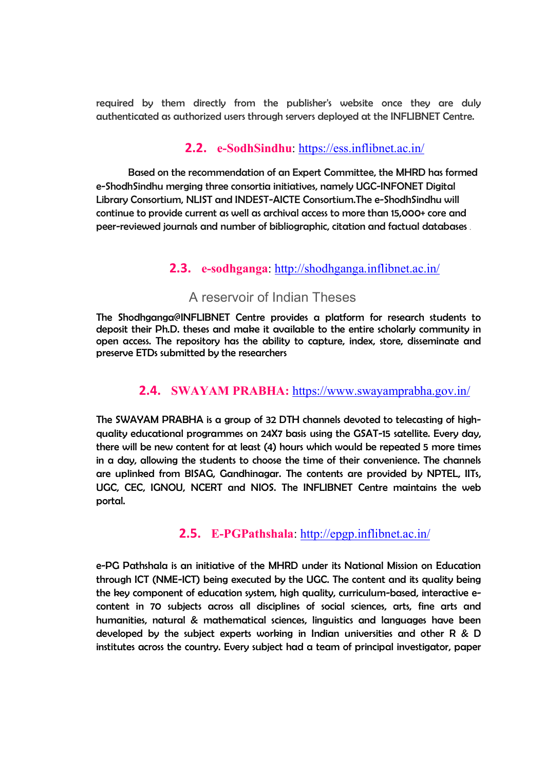required by them directly from the publisher's website once they are duly authenticated as authorized users through servers deployed at the INFLIBNET Centre.

### 2.2. e-SodhSindhu: https://ess.inflibnet.ac.in/

Based on the recommendation of an Expert Committee, the MHRD has formed e-ShodhSindhu merging three consortia initiatives, namely UGC-INFONET Digital Library Consortium, NLIST and INDEST-AICTE Consortium.The e-ShodhSindhu will continue to provide current as well as archival access to more than 15,000+ core and peer-reviewed journals and number of bibliographic, citation and factual databases .

### 2.3. e-sodhganga: http://shodhganga.inflibnet.ac.in/

## A reservoir of Indian Theses

The Shodhganga@INFLIBNET Centre provides a platform for research students to deposit their Ph.D. theses and make it available to the entire scholarly community in open access. The repository has the ability to capture, index, store, disseminate and preserve ETDs submitted by the researchers

#### 2.4. SWAYAM PRABHA: https://www.swayamprabha.gov.in/

The SWAYAM PRABHA is a group of 32 DTH channels devoted to telecasting of highquality educational programmes on 24X7 basis using the GSAT-15 satellite. Every day, there will be new content for at least (4) hours which would be repeated 5 more times in a day, allowing the students to choose the time of their convenience. The channels are uplinked from BISAG, Gandhinagar. The contents are provided by NPTEL, IITs, UGC, CEC, IGNOU, NCERT and NIOS. The INFLIBNET Centre maintains the web portal.

### 2.5. E-PGPathshala: http://epgp.inflibnet.ac.in/

e-PG Pathshala is an initiative of the MHRD under its National Mission on Education through ICT (NME-ICT) being executed by the UGC. The content and its quality being the key component of education system, high quality, curriculum-based, interactive econtent in 70 subjects across all disciplines of social sciences, arts, fine arts and humanities, natural & mathematical sciences, linguistics and languages have been developed by the subject experts working in Indian universities and other R & D institutes across the country. Every subject had a team of principal investigator, paper